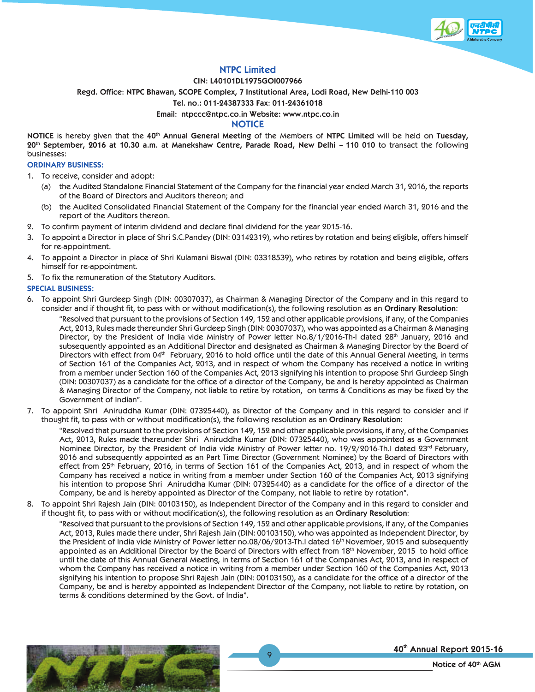

# **NTPC Limited**

## **CIN: L40101DL1975GOI007966**

**Regd. Office: NTPC Bhawan, SCOPE Complex, 7 Institutional Area, Lodi Road, New Delhi-110 003**

**Tel. no.: 011-24387333 Fax: 011-24361018**

**Email: ntpccc@ntpc.co.in Website: www.ntpc.co.in**

# **NOTICE**

**NOTICE** is hereby given that the **40th Annual General Meeting** of the Members of **NTPC Limited** will be held on **Tuesday, 20th September, 2016 at 10.30 a.m.** a**t Manekshaw Centre, Parade Road, New Delhi – 110 010** to transact the following businesses:

### **ORDINARY BUSINESS:**

- 1. To receive, consider and adopt:
	- (a) the Audited Standalone Financial Statement of the Company for the financial year ended March 31, 2016, the reports of the Board of Directors and Auditors thereon; and
	- (b) the Audited Consolidated Financial Statement of the Company for the financial year ended March 31, 2016 and the report of the Auditors thereon.
- 2. To confirm payment of interim dividend and declare final dividend for the year 2015-16.
- 3. To appoint a Director in place of Shri S.C.Pandey (DIN: 03142319), who retires by rotation and being eligible, offers himself for re-appointment.
- 4. To appoint a Director in place of Shri Kulamani Biswal (DIN: 03318539), who retires by rotation and being eligible, offers himself for re-appointment.
- 5. To fix the remuneration of the Statutory Auditors.

# **SPECIAL BUSINESS:**

6. To appoint Shri Gurdeep Singh (DIN: 00307037), as Chairman & Managing Director of the Company and in this regard to consider and if thought fit, to pass with or without modification(s), the following resolution as an **Ordinary Resolution**:

 "Resolved that pursuant to the provisions of Section 149, 152 and other applicable provisions, if any, of the Companies Act, 2013, Rules made thereunder Shri Gurdeep Singh (DIN: 00307037), who was appointed as a Chairman & Managing Director, by the President of India vide Ministry of Power letter No.8/1/2016-Th-I dated 28<sup>th</sup> January, 2016 and subsequently appointed as an Additional Director and designated as Chairman & Managing Director by the Board of Directors with effect from 04<sup>th</sup> February, 2016 to hold office until the date of this Annual General Meeting, in terms of Section 161 of the Companies Act, 2013, and in respect of whom the Company has received a notice in writing from a member under Section 160 of the Companies Act, 2013 signifying his intention to propose Shri Gurdeep Singh (DIN: 00307037) as a candidate for the office of a director of the Company, be and is hereby appointed as Chairman & Managing Director of the Company, not liable to retire by rotation, on terms & Conditions as may be fixed by the Government of Indian".

7. To appoint Shri Aniruddha Kumar (DIN: 07325440), as Director of the Company and in this regard to consider and if thought fit, to pass with or without modification(s), the following resolution as an **Ordinary Resolution**:

 "Resolved that pursuant to the provisions of Section 149, 152 and other applicable provisions, if any, of the Companies Act, 2013, Rules made thereunder Shri Aniruddha Kumar (DIN: 07325440), who was appointed as a Government Nominee Director, by the President of India vide Ministry of Power letter no. 19/2/2016-Th.I dated 23<sup>rd</sup> February, 2016 and subsequently appointed as an Part Time Director (Government Nominee) by the Board of Directors with effect from 25th February, 2016, in terms of Section 161 of the Companies Act, 2013, and in respect of whom the Company has received a notice in writing from a member under Section 160 of the Companies Act, 2013 signifying his intention to propose Shri Aniruddha Kumar (DIN: 07325440) as a candidate for the office of a director of the Company, be and is hereby appointed as Director of the Company, not liable to retire by rotation".

8. To appoint Shri Rajesh Jain (DIN: 00103150), as Independent Director of the Company and in this regard to consider and if thought fit, to pass with or without modification(s), the following resolution as an **Ordinary Resolution**:

 "Resolved that pursuant to the provisions of Section 149, 152 and other applicable provisions, if any, of the Companies Act, 2013, Rules made there under, Shri Rajesh Jain (DIN: 00103150), who was appointed as Independent Director, by the President of India vide Ministry of Power letter no.08/06/2013-Th.I dated 16<sup>th</sup> November, 2015 and subsequently appointed as an Additional Director by the Board of Directors with effect from 18<sup>th</sup> November, 2015 to hold office until the date of this Annual General Meeting, in terms of Section 161 of the Companies Act, 2013, and in respect of whom the Company has received a notice in writing from a member under Section 160 of the Companies Act, 2013 signifying his intention to propose Shri Rajesh Jain (DIN: 00103150), as a candidate for the office of a director of the Company, be and is hereby appointed as Independent Director of the Company, not liable to retire by rotation, on terms & conditions determined by the Govt. of India".

 $\overline{Q}$ 



40th Annual Report 2015-16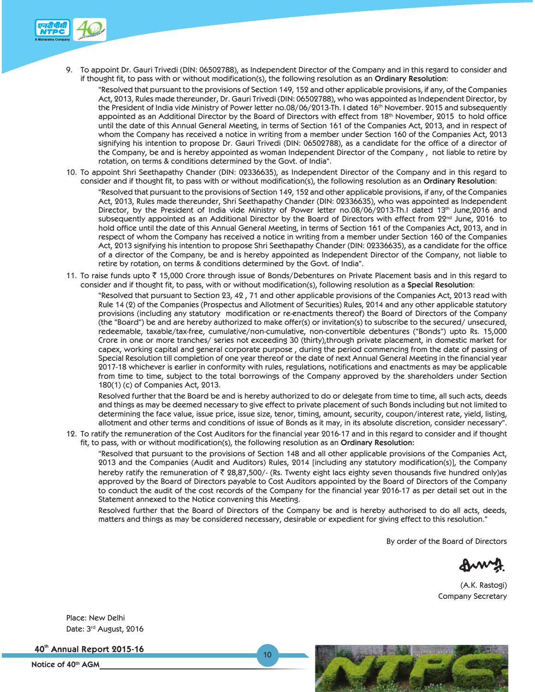

9. To appoint Dr. Gauri Trivedi (DIN: 06502788), as Independent Director of the Company and in this regard to consider and if thought fit, to pass with or without modification(s), the following resolution as an **Ordinary Resolution**:

"Resolved that pursuant to the provisions of Section 149, 152 and other applicable provisions, if any, of the Companies Act, 2013, Rules made thereunder, Dr. Gauri Trivedi (DIN: 06502788), who was appointed as Independent Director, by the President of India vide Ministry of Power letter no.08/06/2013-Th. I dated 16<sup>th</sup> November. 2015 and subsequently appointed as an Additional Director by the Board of Directors with effect from 18<sup>th</sup> November, 2015 to hold office until the date of this Annual General Meeting, in terms of Section 161 of the Companies Act, 2013, and in respect of whom the Company has received a notice in writing from a member under Section 160 of the Companies Act, 2013 signifying his intention to propose Dr. Gauri Trivedi (DIN: 06502788), as a candidate for the office of a director of the Company, be and is hereby appointed as woman Independent Director of the Company , not liable to retire by rotation, on terms & conditions determined by the Govt. of India".

10. To appoint Shri Seethapathy Chander (DIN: 02336635), as Independent Director of the Company and in this regard to consider and if thought fit, to pass with or without modification(s), the following resolution as an **Ordinary Resolution**:

 "Resolved that pursuant to the provisions of Section 149, 152 and other applicable provisions, if any, of the Companies Act, 2013, Rules made thereunder, Shri Seethapathy Chander (DIN: 02336635), who was appointed as Independent Director, by the President of India vide Ministry of Power letter no.08/06/2013-Th.I dated 13th June,2016 and subsequently appointed as an Additional Director by the Board of Directors with effect from 22<sup>nd</sup> June, 2016 to hold office until the date of this Annual General Meeting, in terms of Section 161 of the Companies Act, 2013, and in respect of whom the Company has received a notice in writing from a member under Section 160 of the Companies Act, 2013 signifying his intention to propose Shri Seethapathy Chander (DIN: 02336635), as a candidate for the office of a director of the Company, be and is hereby appointed as Independent Director of the Company, not liable to retire by rotation, on terms & conditions determined by the Govt. of India".

11. To raise funds upto  $\bar{z}$  15,000 Crore through issue of Bonds/Debentures on Private Placement basis and in this regard to consider and if thought fit, to pass, with or without modification(s), following resolution as a **Special Resolution**:

 "Resolved that pursuant to Section 23, 42 , 71 and other applicable provisions of the Companies Act, 2013 read with Rule 14 (2) of the Companies (Prospectus and Allotment of Securities) Rules, 2014 and any other applicable statutory provisions (including any statutory modification or re-enactments thereof) the Board of Directors of the Company (the "Board") be and are hereby authorized to make offer(s) or invitation(s) to subscribe to the secured/ unsecured, redeemable, taxable/tax-free, cumulative/non-cumulative, non-convertible debentures ("Bonds") upto Rs. 15,000 Crore in one or more tranches/ series not exceeding 30 (thirty),through private placement, in domestic market for capex, working capital and general corporate purpose , during the period commencing from the date of passing of Special Resolution till completion of one year thereof or the date of next Annual General Meeting in the financial year 2017-18 whichever is earlier in conformity with rules, regulations, notifications and enactments as may be applicable from time to time, subject to the total borrowings of the Company approved by the shareholders under Section 180(1) (c) of Companies Act, 2013.

 Resolved further that the Board be and is hereby authorized to do or delegate from time to time, all such acts, deeds and things as may be deemed necessary to give effect to private placement of such Bonds including but not limited to determining the face value, issue price, issue size, tenor, timing, amount, security, coupon/interest rate, yield, listing, allotment and other terms and conditions of issue of Bonds as it may, in its absolute discretion, consider necessary".

12. To ratify the remuneration of the Cost Auditors for the financial year 2016-17 and in this regard to consider and if thought fit, to pass, with or without modification(s), the following resolution as an **Ordinary Resolution:**

 "Resolved that pursuant to the provisions of Section 148 and all other applicable provisions of the Companies Act, 2013 and the Companies (Audit and Auditors) Rules, 2014 [including any statutory modification(s)], the Company hereby ratify the remuneration of  $\bar{\zeta}$  28,87,500/- (Rs. Twenty eight lacs eighty seven thousands five hundred only)as approved by the Board of Directors payable to Cost Auditors appointed by the Board of Directors of the Company to conduct the audit of the cost records of the Company for the financial year 2016-17 as per detail set out in the Statement annexed to the Notice convening this Meeting.

 Resolved further that the Board of Directors of the Company be and is hereby authorised to do all acts, deeds, matters and things as may be considered necessary, desirable or expedient for giving effect to this resolution."

By order of the Board of Directors

(A.K. Rastogi) Company Secretary

Place: New Delhi Date: 3rd August, 2016

40th Annual Report 2015-16

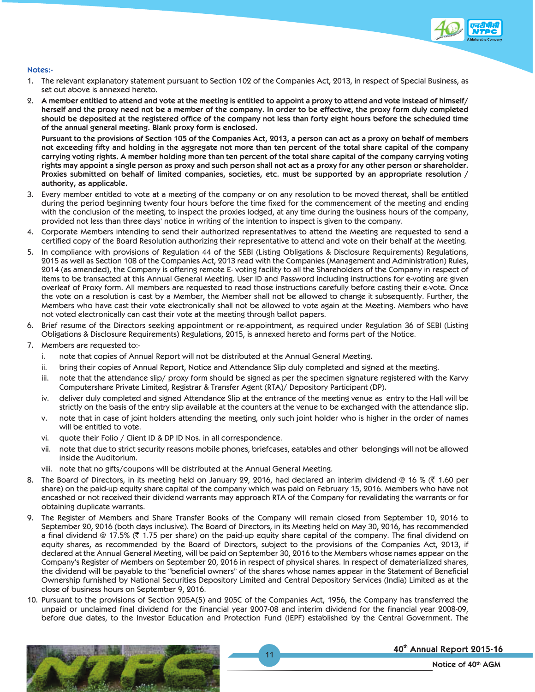

## **Notes:-**

- 1. The relevant explanatory statement pursuant to Section 102 of the Companies Act, 2013, in respect of Special Business, as set out above is annexed hereto.
- 2. **A member entitled to attend and vote at the meeting is entitled to appoint a proxy to attend and vote instead of himself/ herself and the proxy need not be a member of the company. In order to be effective, the proxy form duly completed should be deposited at the registered office of the company not less than forty eight hours before the scheduled time of the annual general meeting. Blank proxy form is enclosed.**

 **Pursuant to the provisions of Section 105 of the Companies Act, 2013, a person can act as a proxy on behalf of members not exceeding fifty and holding in the aggregate not more than ten percent of the total share capital of the company carrying voting rights. A member holding more than ten percent of the total share capital of the company carrying voting rights may appoint a single person as proxy and such person shall not act as a proxy for any other person or shareholder. Proxies submitted on behalf of limited companies, societies, etc. must be supported by an appropriate resolution / authority, as applicable.**

- 3. Every member entitled to vote at a meeting of the company or on any resolution to be moved thereat, shall be entitled during the period beginning twenty four hours before the time fixed for the commencement of the meeting and ending with the conclusion of the meeting, to inspect the proxies lodged, at any time during the business hours of the company, provided not less than three days' notice in writing of the intention to inspect is given to the company.
- 4. Corporate Members intending to send their authorized representatives to attend the Meeting are requested to send a certified copy of the Board Resolution authorizing their representative to attend and vote on their behalf at the Meeting.
- 5. In compliance with provisions of Regulation 44 of the SEBI (Listing Obligations & Disclosure Requirements) Regulations, 2015 as well as Section 108 of the Companies Act, 2013 read with the Companies (Management and Administration) Rules, 2014 (as amended), the Company is offering remote E- voting facility to all the Shareholders of the Company in respect of items to be transacted at this Annual General Meeting. User ID and Password including instructions for e-voting are given overleaf of Proxy form. All members are requested to read those instructions carefully before casting their e-vote. Once the vote on a resolution is cast by a Member, the Member shall not be allowed to change it subsequently. Further, the Members who have cast their vote electronically shall not be allowed to vote again at the Meeting. Members who have not voted electronically can cast their vote at the meeting through ballot papers.
- 6. Brief resume of the Directors seeking appointment or re-appointment, as required under Regulation 36 of SEBI (Listing Obligations & Disclosure Requirements) Regulations, 2015, is annexed hereto and forms part of the Notice.
- 7. Members are requested to:
	- i. note that copies of Annual Report will not be distributed at the Annual General Meeting.
	- ii. bring their copies of Annual Report, Notice and Attendance Slip duly completed and signed at the meeting.
	- iii. note that the attendance slip/ proxy form should be signed as per the specimen signature registered with the Karvy Computershare Private Limited, Registrar & Transfer Agent (RTA)/ Depository Participant (DP).
	- iv. deliver duly completed and signed Attendance Slip at the entrance of the meeting venue as entry to the Hall will be strictly on the basis of the entry slip available at the counters at the venue to be exchanged with the attendance slip.
	- v. note that in case of joint holders attending the meeting, only such joint holder who is higher in the order of names will be entitled to vote.
	- vi. quote their Folio / Client ID & DP ID Nos. in all correspondence.
	- vii. note that due to strict security reasons mobile phones, briefcases, eatables and other belongings will not be allowed inside the Auditorium.
	- viii. note that no gifts/coupons will be distributed at the Annual General Meeting.
- 8. The Board of Directors, in its meeting held on January 29, 2016, had declared an interim dividend @ 16 % ( $\bar{z}$  1.60 per share) on the paid-up equity share capital of the company which was paid on February 15, 2016. Members who have not encashed or not received their dividend warrants may approach RTA of the Company for revalidating the warrants or for obtaining duplicate warrants.
- 9. The Register of Members and Share Transfer Books of the Company will remain closed from September 10, 2016 to September 20, 2016 (both days inclusive). The Board of Directors, in its Meeting held on May 30, 2016, has recommended a final dividend @ 17.5% ( $\bar{\tau}$  1.75 per share) on the paid-up equity share capital of the company. The final dividend on equity shares, as recommended by the Board of Directors, subject to the provisions of the Companies Act, 2013, if declared at the Annual General Meeting, will be paid on September 30, 2016 to the Members whose names appear on the Company's Register of Members on September 20, 2016 in respect of physical shares. In respect of dematerialized shares, the dividend will be payable to the "beneficial owners" of the shares whose names appear in the Statement of Beneficial Ownership furnished by National Securities Depository Limited and Central Depository Services (India) Limited as at the close of business hours on September 9, 2016.
- 10. Pursuant to the provisions of Section 205A(5) and 205C of the Companies Act, 1956, the Company has transferred the unpaid or unclaimed final dividend for the financial year 2007-08 and interim dividend for the financial year 2008-09, before due dates, to the Investor Education and Protection Fund (IEPF) established by the Central Government. The

11



# 40th Annual Report 2015-16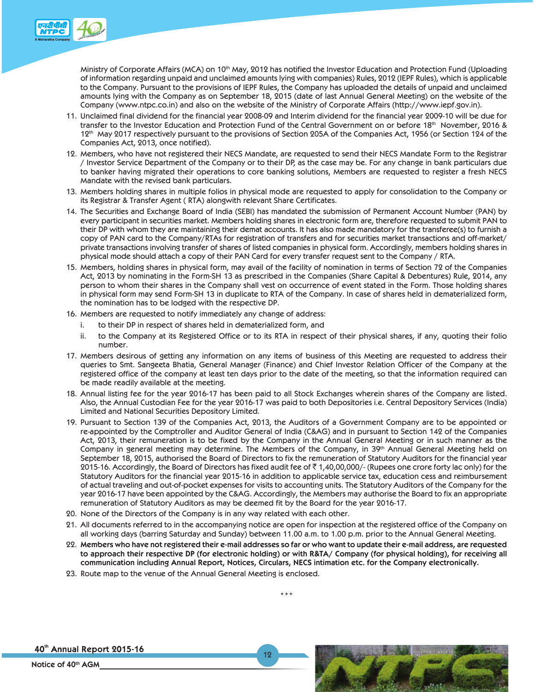

Ministry of Corporate Affairs (MCA) on 10<sup>th</sup> May, 2012 has notified the Investor Education and Protection Fund (Uploading of information regarding unpaid and unclaimed amounts lying with companies) Rules, 2012 (IEPF Rules), which is applicable to the Company. Pursuant to the provisions of IEPF Rules, the Company has uploaded the details of unpaid and unclaimed amounts lying with the Company as on September 18, 2015 (date of last Annual General Meeting) on the website of the Company (www.ntpc.co.in) and also on the website of the Ministry of Corporate Affairs (http://www.iepf.gov.in).

- 11. Unclaimed final dividend for the financial year 2008-09 and Interim dividend for the financial year 2009-10 will be due for transfer to the Investor Education and Protection Fund of the Central Government on or before 18<sup>th</sup> November, 2016 & 12<sup>th</sup> May 2017 respectively pursuant to the provisions of Section 205A of the Companies Act, 1956 (or Section 124 of the Companies Act, 2013, once notified).
- 12. Members, who have not registered their NECS Mandate, are requested to send their NECS Mandate Form to the Registrar / Investor Service Department of the Company or to their DP, as the case may be. For any change in bank particulars due to banker having migrated their operations to core banking solutions, Members are requested to register a fresh NECS Mandate with the revised bank particulars.
- 13. Members holding shares in multiple folios in physical mode are requested to apply for consolidation to the Company or its Registrar & Transfer Agent ( RTA) alongwith relevant Share Certificates.
- 14. The Securities and Exchange Board of India (SEBI) has mandated the submission of Permanent Account Number (PAN) by every participant in securities market. Members holding shares in electronic form are, therefore requested to submit PAN to their DP with whom they are maintaining their demat accounts. It has also made mandatory for the transferee(s) to furnish a copy of PAN card to the Company/RTAs for registration of transfers and for securities market transactions and off-market/ private transactions involving transfer of shares of listed companies in physical form. Accordingly, members holding shares in physical mode should attach a copy of their PAN Card for every transfer request sent to the Company / RTA.
- 15. Members, holding shares in physical form, may avail of the facility of nomination in terms of Section 72 of the Companies Act, 2013 by nominating in the Form-SH 13 as prescribed in the Companies (Share Capital & Debentures) Rule, 2014, any person to whom their shares in the Company shall vest on occurrence of event stated in the Form. Those holding shares in physical form may send Form-SH 13 in duplicate to RTA of the Company. In case of shares held in dematerialized form, the nomination has to be lodged with the respective DP.
- 16. Members are requested to notify immediately any change of address:
	- i. to their DP in respect of shares held in dematerialized form, and
	- ii. to the Company at its Registered Office or to its RTA in respect of their physical shares, if any, quoting their folio number.
- 17. Members desirous of getting any information on any items of business of this Meeting are requested to address their queries to Smt. Sangeeta Bhatia, General Manager (Finance) and Chief Investor Relation Officer of the Company at the registered office of the company at least ten days prior to the date of the meeting, so that the information required can be made readily available at the meeting.
- 18. Annual listing fee for the year 2016-17 has been paid to all Stock Exchanges wherein shares of the Company are listed. Also, the Annual Custodian Fee for the year 2016-17 was paid to both Depositories i.e. Central Depository Services (India) Limited and National Securities Depository Limited.
- 19. Pursuant to Section 139 of the Companies Act, 2013, the Auditors of a Government Company are to be appointed or re-appointed by the Comptroller and Auditor General of India (C&AG) and in pursuant to Section 142 of the Companies Act, 2013, their remuneration is to be fixed by the Company in the Annual General Meeting or in such manner as the Company in general meeting may determine. The Members of the Company, in 39th Annual General Meeting held on September 18, 2015, authorised the Board of Directors to fix the remuneration of Statutory Auditors for the financial year 2015-16. Accordingly, the Board of Directors has fixed audit fee of  $\bar{\tau}$  1,40,00,000/- (Rupees one crore forty lac only) for the Statutory Auditors for the financial year 2015-16 in addition to applicable service tax, education cess and reimbursement of actual traveling and out-of-pocket expenses for visits to accounting units. The Statutory Auditors of the Company for the year 2016-17 have been appointed by the C&AG. Accordingly, the Members may authorise the Board to fix an appropriate remuneration of Statutory Auditors as may be deemed fit by the Board for the year 2016-17.
- 20. None of the Directors of the Company is in any way related with each other.
- 21. All documents referred to in the accompanying notice are open for inspection at the registered office of the Company on all working days (barring Saturday and Sunday) between 11.00 a.m. to 1.00 p.m. prior to the Annual General Meeting.
- 22. **Members who have not registered their e-mail addresses so far or who want to update their e-mail address, are requested to approach their respective DP (for electronic holding) or with R&TA/ Company (for physical holding), for receiving all communication including Annual Report, Notices, Circulars, NECS intimation etc. for the Company electronically.**

\*\*\*

12

23. Route map to the venue of the Annual General Meeting is enclosed.

40th Annual Report 2015-16

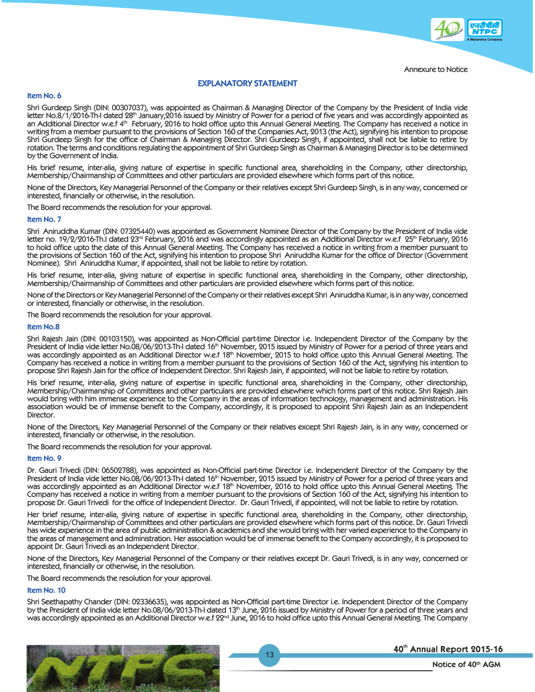

# **EXPLANATORY STATEMENT**

### **Item No. 6**

Shri Gurdeep Singh (DIN: 00307037), was appointed as Chairman & Managing Director of the Company by the President of India vide letter No.8/1/2016-Th-I dated 28<sup>th</sup> January,2016 issued by Ministry of Power for a period of five years and was accordingly appointed as an Additional Director w.e.f 4<sup>th</sup> February, 2016 to hold office upto this Annual General Meeting. The Company has received a notice in writing from a member pursuant to the provisions of Section 160 of the Companies Act, 2013 (the Act), signifying his intention to propose Shri Gurdeep Singh for the office of Chairman & Managing Director. Shri Gurdeep Singh, if appointed, shall not be liable to retire by rotation. The terms and conditions regulating the appointment of Shri Gurdeep Singh as Chairman & Managing Director is to be determined by the Government of India.

His brief resume, inter-alia, giving nature of expertise in specific functional area, shareholding in the Company, other directorship, Membership/Chairmanship of Committees and other particulars are provided elsewhere which forms part of this notice.

None of the Directors, Key Managerial Personnel of the Company or their relatives except Shri Gurdeep Singh, is in any way, concerned or interested, financially or otherwise, in the resolution.

The Board recommends the resolution for your approval.

#### **Item No. 7**

Shri Aniruddha Kumar (DIN: 07325440) was appointed as Government Nominee Director of the Company by the President of India vide letter no. 19/2/2016-Th.I dated 23rd February, 2016 and was accordingly appointed as an Additional Director w.e.f 25th February, 2016 to hold office upto the date of this Annual General Meeting. The Company has received a notice in writing from a member pursuant to the provisions of Section 160 of the Act, signifying his intention to propose Shri Aniruddha Kumar for the office of Director (Government Nominee). Shri Aniruddha Kumar, if appointed, shall not be liable to retire by rotation.

His brief resume, inter-alia, giving nature of expertise in specific functional area, shareholding in the Company, other directorship, Membership/Chairmanship of Committees and other particulars are provided elsewhere which forms part of this notice.

None of the Directors or Key Managerial Personnel of the Company or their relatives except Shri Aniruddha Kumar, is in any way, concerned or interested, financially or otherwise, in the resolution.

The Board recommends the resolution for your approval.

#### **Item No.8**

Shri Rajesh Jain (DIN: 00103150), was appointed as Non-Official part-time Director i.e. Independent Director of the Company by the President of India vide letter No.08/06/2013-Th-I dated 16<sup>th</sup> November, 2015 issued by Ministry of Power for a period of three years and was accordingly appointed as an Additional Director w.e.f 18<sup>th</sup> November, 2015 to hold office upto this Annual General Meeting. The Company has received a notice in writing from a member pursuant to the provisions of Section 160 of the Act, signifying his intention to propose Shri Rajesh Jain for the office of Independent Director. Shri Rajesh Jain, if appointed, will not be liable to retire by rotation.

His brief resume, inter-alia, giving nature of expertise in specific functional area, shareholding in the Company, other directorship, Membership/Chairmanship of Committees and other particulars are provided elsewhere which forms part of this notice. Shri Rajesh Jain would bring with him immense experience to the Company in the areas of information technology, management and administration. His association would be of immense benefit to the Company, accordingly, it is proposed to appoint Shri Rajesh Jain as an Independent Director.

None of the Directors, Key Managerial Personnel of the Company or their relatives except Shri Rajesh Jain, is in any way, concerned or interested, financially or otherwise, in the resolution.

The Board recommends the resolution for your approval.

#### **Item No. 9**

Dr. Gauri Trivedi (DIN: 06502788), was appointed as Non-Official part-time Director i.e. Independent Director of the Company by the President of India vide letter No.08/06/2013-Th-I dated 16<sup>th</sup> November, 2015 issued by Ministry of Power for a period of three years and was accordingly appointed as an Additional Director w.e.f 18<sup>th</sup> November, 2016 to hold office upto this Annual General Meeting. The Company has received a notice in writing from a member pursuant to the provisions of Section 160 of the Act, signifying his intention to propose Dr. Gauri Trivedi for the office of Independent Director. Dr. Gauri Trivedi, if appointed, will not be liable to retire by rotation.

Her brief resume, inter-alia, giving nature of expertise in specific functional area, shareholding in the Company, other directorship, Membership/Chairmanship of Committees and other particulars are provided elsewhere which forms part of this notice. Dr. Gauri Trivedi has wide experience in the area of public administration & academics and she would bring with her varied experience to the Company in the areas of management and administration. Her association would be of immense benefit to the Company accordingly, it is proposed to appoint Dr. Gauri Trivedi as an Independent Director.

None of the Directors, Key Managerial Personnel of the Company or their relatives except Dr. Gauri Trivedi, is in any way, concerned or interested, financially or otherwise, in the resolution.

The Board recommends the resolution for your approval.

#### **Item No. 10**

Shri Seethapathy Chander (DIN: 02336635), was appointed as Non-Official part-time Director i.e. Independent Director of the Company by the President of India vide letter No.08/06/2013-Th-I dated 13th June, 2016 issued by Ministry of Power for a period of three years and was accordingly appointed as an Additional Director w.e.f 22<sup>nd</sup> June, 2016 to hold office upto this Annual General Meeting. The Company

13



## 40th Annual Report 2015-16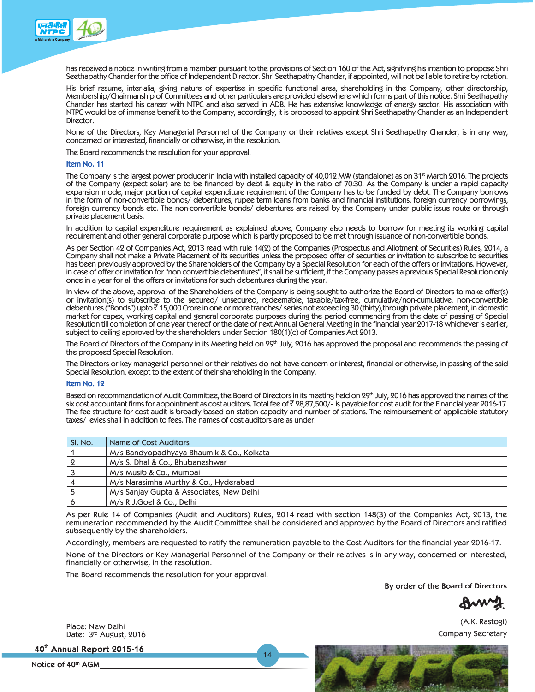

has received a notice in writing from a member pursuant to the provisions of Section 160 of the Act, signifying his intention to propose Shri Seethapathy Chander for the office of Independent Director. Shri Seethapathy Chander, if appointed, will not be liable to retire by rotation.

His brief resume, inter-alia, giving nature of expertise in specific functional area, shareholding in the Company, other directorship, Membership/Chairmanship of Committees and other particulars are provided elsewhere which forms part of this notice. Shri Seethapathy Chander has started his career with NTPC and also served in ADB. He has extensive knowledge of energy sector. His association with NTPC would be of immense benefit to the Company, accordingly, it is proposed to appoint Shri Seethapathy Chander as an Independent Director.

None of the Directors, Key Managerial Personnel of the Company or their relatives except Shri Seethapathy Chander, is in any way, concerned or interested, financially or otherwise, in the resolution.

The Board recommends the resolution for your approval.

#### **Item No. 11**

The Company is the largest power producer in India with installed capacity of 40,012 MW (standalone) as on 31<sup>st</sup> March 2016. The projects of the Company (expect solar) are to be financed by debt & equity in the ratio of 70:30. As the Company is under a rapid capacity expansion mode, major portion of capital expenditure requirement of the Company has to be funded by debt. The Company borrows in the form of non-convertible bonds/ debentures, rupee term loans from banks and financial institutions, foreign currency borrowings, foreign currency bonds etc. The non-convertible bonds/ debentures are raised by the Company under public issue route or through private placement basis.

In addition to capital expenditure requirement as explained above, Company also needs to borrow for meeting its working capital requirement and other general corporate purpose which is partly proposed to be met through issuance of non-convertible bonds.

As per Section 42 of Companies Act, 2013 read with rule 14(2) of the Companies (Prospectus and Allotment of Securities) Rules, 2014, a Company shall not make a Private Placement of its securities unless the proposed offer of securities or invitation to subscribe to securities has been previously approved by the Shareholders of the Company by a Special Resolution for each of the offers or invitations. However, in case of offer or invitation for "non convertible debentures", it shall be sufficient, if the Company passes a previous Special Resolution only once in a year for all the offers or invitations for such debentures during the year.

In view of the above, approval of the Shareholders of the Company is being sought to authorize the Board of Directors to make offer(s) or invitation(s) to subscribe to the secured/ unsecured, redeemable, taxable/tax-free, cumulative/non-cumulative, non-convertible debentures ("Bonds") upto  $\bar{\tau}$  15,000 Crore in one or more tranches/ series not exceeding 30 (thirty), through private placement, in domestic market for capex, working capital and general corporate purposes during the period commencing from the date of passing of Special Resolution till completion of one year thereof or the date of next Annual General Meeting in the financial year 2017-18 whichever is earlier, subject to ceiling approved by the shareholders under Section 180(1)(c) of Companies Act 2013.

The Board of Directors of the Company in its Meeting held on 29<sup>th</sup> July, 2016 has approved the proposal and recommends the passing of the proposed Special Resolution.

The Directors or key managerial personnel or their relatives do not have concern or interest, financial or otherwise, in passing of the said Special Resolution, except to the extent of their shareholding in the Company.

#### **Item No. 12**

Based on recommendation of Audit Committee, the Board of Directors in its meeting held on 29<sup>th</sup> July, 2016 has approved the names of the six cost accountant firms for appointment as cost auditors. Total fee of  $\bar{\ell}$  28,87,500/- is payable for cost audit for the Financial year 2016-17. The fee structure for cost audit is broadly based on station capacity and number of stations. The reimbursement of applicable statutory taxes/ levies shall in addition to fees. The names of cost auditors are as under:

| SI. No. | Name of Cost Auditors                     |
|---------|-------------------------------------------|
|         | M/s Bandyopadhyaya Bhaumik & Co., Kolkata |
|         | M/s S. Dhal & Co., Bhubaneshwar           |
|         | M/s Musib & Co., Mumbai                   |
|         | M/s Narasimha Murthy & Co., Hyderabad     |
|         | M/s Sanjay Gupta & Associates, New Delhi  |
|         | M/s R.J.Goel & Co., Delhi                 |

As per Rule 14 of Companies (Audit and Auditors) Rules, 2014 read with section 148(3) of the Companies Act, 2013, the remuneration recommended by the Audit Committee shall be considered and approved by the Board of Directors and ratified subsequently by the shareholders.

Accordingly, members are requested to ratify the remuneration payable to the Cost Auditors for the financial year 2016-17.

14

None of the Directors or Key Managerial Personnel of the Company or their relatives is in any way, concerned or interested, financially or otherwise, in the resolution.

The Board recommends the resolution for your approval.

**By order of the Board of Directors**

(A.K. Rastogi) Company Secretary

Place: New Delhi Date: 3rd August, 2016

40th Annual Report 2015-16

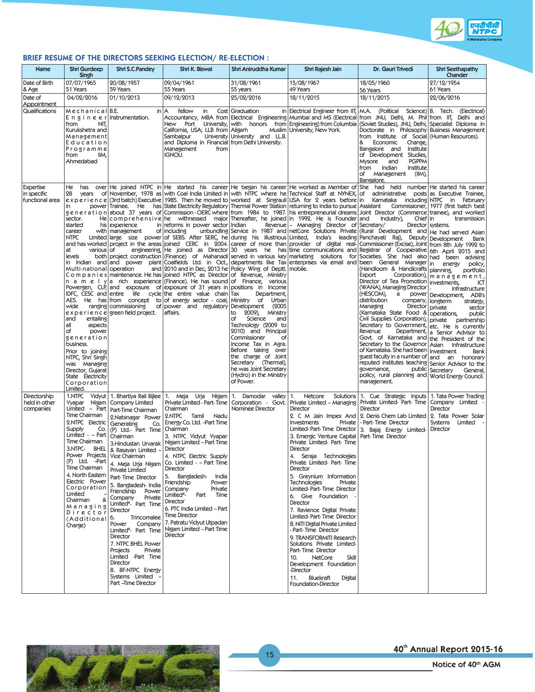

# **BRIEF RESUME OF THE DIRECTORS SEEKING ELECTION/ RE-ELECTION :**

| Name                                               | <b>Shri Gurdeep</b><br>Singh                                                                                                                                                                                                                                                                                                              | Shri S.C.Pandey                                                                                                                                                                                                                                                                                                                                                                                                                                                                                                                                                                                                                        | Shri K. Biswal                                                                                                                                                                                                                                                                                                                                                                                                                                                                                                                                                                              | Shri Aniruddha Kumar                                                                                                                                                                                                                                                                                    | Shri Rajesh Jain                                                                                                                                                                                                                                                                                                                                                                                                                                                                                                                                                                                                                                                                                             | Dr. Gauri Trivedi                                                                                                                                                                                                                                                                                                                                                                                                                                                                                                                                                                                                                                                                                                                                                                                                                                                                                                                                                                                                                                                                                                                                                                                                                                                                                                                                                                                                                                                                                                                                                                                                                                                                                                                                                                                                                                                                                                                                                                                                                                   | <b>Shri Seethapathy</b><br>Chander                                                                                                                                                                                                                                                                            |
|----------------------------------------------------|-------------------------------------------------------------------------------------------------------------------------------------------------------------------------------------------------------------------------------------------------------------------------------------------------------------------------------------------|----------------------------------------------------------------------------------------------------------------------------------------------------------------------------------------------------------------------------------------------------------------------------------------------------------------------------------------------------------------------------------------------------------------------------------------------------------------------------------------------------------------------------------------------------------------------------------------------------------------------------------------|---------------------------------------------------------------------------------------------------------------------------------------------------------------------------------------------------------------------------------------------------------------------------------------------------------------------------------------------------------------------------------------------------------------------------------------------------------------------------------------------------------------------------------------------------------------------------------------------|---------------------------------------------------------------------------------------------------------------------------------------------------------------------------------------------------------------------------------------------------------------------------------------------------------|--------------------------------------------------------------------------------------------------------------------------------------------------------------------------------------------------------------------------------------------------------------------------------------------------------------------------------------------------------------------------------------------------------------------------------------------------------------------------------------------------------------------------------------------------------------------------------------------------------------------------------------------------------------------------------------------------------------|-----------------------------------------------------------------------------------------------------------------------------------------------------------------------------------------------------------------------------------------------------------------------------------------------------------------------------------------------------------------------------------------------------------------------------------------------------------------------------------------------------------------------------------------------------------------------------------------------------------------------------------------------------------------------------------------------------------------------------------------------------------------------------------------------------------------------------------------------------------------------------------------------------------------------------------------------------------------------------------------------------------------------------------------------------------------------------------------------------------------------------------------------------------------------------------------------------------------------------------------------------------------------------------------------------------------------------------------------------------------------------------------------------------------------------------------------------------------------------------------------------------------------------------------------------------------------------------------------------------------------------------------------------------------------------------------------------------------------------------------------------------------------------------------------------------------------------------------------------------------------------------------------------------------------------------------------------------------------------------------------------------------------------------------------------|---------------------------------------------------------------------------------------------------------------------------------------------------------------------------------------------------------------------------------------------------------------------------------------------------------------|
| Date of Birth<br>& Age                             | 07/07/1965<br>51 Years                                                                                                                                                                                                                                                                                                                    | 20/08/1957<br>59 Years                                                                                                                                                                                                                                                                                                                                                                                                                                                                                                                                                                                                                 | 09/04/1961<br>55 Years                                                                                                                                                                                                                                                                                                                                                                                                                                                                                                                                                                      | 31/08/1961<br>55 years                                                                                                                                                                                                                                                                                  | 15/08/1967<br>49 Years                                                                                                                                                                                                                                                                                                                                                                                                                                                                                                                                                                                                                                                                                       | 18/05/1960<br>56 Years                                                                                                                                                                                                                                                                                                                                                                                                                                                                                                                                                                                                                                                                                                                                                                                                                                                                                                                                                                                                                                                                                                                                                                                                                                                                                                                                                                                                                                                                                                                                                                                                                                                                                                                                                                                                                                                                                                                                                                                                                              | 27/12/1954<br>61 Years                                                                                                                                                                                                                                                                                        |
| Date of<br>Appointment                             | 04/02/2016                                                                                                                                                                                                                                                                                                                                | 01/10/2013                                                                                                                                                                                                                                                                                                                                                                                                                                                                                                                                                                                                                             | 09/12/2013                                                                                                                                                                                                                                                                                                                                                                                                                                                                                                                                                                                  | 25/02/2016                                                                                                                                                                                                                                                                                              | 18/11/2015                                                                                                                                                                                                                                                                                                                                                                                                                                                                                                                                                                                                                                                                                                   | 18/11/2015                                                                                                                                                                                                                                                                                                                                                                                                                                                                                                                                                                                                                                                                                                                                                                                                                                                                                                                                                                                                                                                                                                                                                                                                                                                                                                                                                                                                                                                                                                                                                                                                                                                                                                                                                                                                                                                                                                                                                                                                                                          | 22/06/2016                                                                                                                                                                                                                                                                                                    |
| Qualifications                                     | Mechanical B.E.<br>$E \cap g$ in e e r Instrumentation.<br>NIT,<br>from<br>Kurukshetra and<br>Management<br>Education<br>Programme<br>from<br>IIM,<br>Ahmedabad                                                                                                                                                                           |                                                                                                                                                                                                                                                                                                                                                                                                                                                                                                                                                                                                                                        | in   A<br>fellow<br>in<br>California, USA; LLB from Aligarh<br>Sambalpur<br>and Diploma in Financial from Delhi University.<br>Management<br>from<br>IGNOU.                                                                                                                                                                                                                                                                                                                                                                                                                                 | Cost Graduation<br>University University and LL.B.                                                                                                                                                                                                                                                      | in Electrical Engineer from IIT, M.A.<br>Muslim   University, New York.                                                                                                                                                                                                                                                                                                                                                                                                                                                                                                                                                                                                                                      | Accountancy, MBA from Electrical Engineering Mumbai and MS (Electrical from JNU, Delhi, M. Phil from IIT, Delhi and<br>New Port University, with honors from Engineering) from Columbia (Soviet Studies), JNU, Delhi, Specialist Diploma in<br>Doctorate in Philosophy Business Management<br>from Institute of Social (Human Resources).<br>&<br>Economic<br>Change,<br>Bangalore and<br>Institute<br>of Development Studies,<br>Mysore<br>and<br><b>PGPPM</b><br>from<br>Indian<br>Institute<br>of Management<br>(IIM),<br>Bangalore.                                                                                                                                                                                                                                                                                                                                                                                                                                                                                                                                                                                                                                                                                                                                                                                                                                                                                                                                                                                                                                                                                                                                                                                                                                                                                                                                                                                                                                                                                                             | (Political Science) B. Tech. (Electrical)                                                                                                                                                                                                                                                                     |
| <b>Expertise</b><br>in specific<br>functional area | 28<br>years<br>in<br>sector.<br>started<br>career<br>NTPC<br>lat<br>various of<br>levels<br>Multi-national operation<br>wide<br>and<br>entailing<br>all<br>aspects<br>of<br>power<br>generation<br>business.<br>Prior to joining<br>NTPC, Shri Singh<br>was Managing<br>Director, Gujarat<br>State Electricity<br>Corporation<br>Limited. | his experience<br>with   management<br>ranging   commissioning<br>experience green field project.                                                                                                                                                                                                                                                                                                                                                                                                                                                                                                                                      | in reforms in power sector Indian<br>of including<br>and 2010 and in Dec, 2013 he Policy Wing of Deptt. mobile.<br>C o m p a n i e s   maintenance. He has   joined NTPC as Director of Revenue, Ministry<br>n a m e l y a rich experience (Finance). He has sound of Finance, various<br>Powergen, CLP and exposure of exposure of 31 years in positions in Income<br>IDFC, CESC and entire life cycle the entire value chain Tax<br>AES. He has from concept to of energy sector - coal, Ministry of Urban<br>of power and regulatory Development<br>affairs.                             | Department,<br>(2005<br>2009), Ministry<br>to<br>Science<br>of<br>and<br>Technology (2009 to<br>2010) and Principal<br>Commissioner<br>of<br>Income Tax in Agra.<br>Before taking over<br>the charge of Joint<br>Secretary (Thermal),<br>he was Joint Secretary<br>(Hydro) in the Ministry<br>of Power. | experience (3rd batch) Executive 1985. Then he moved to worked at Singrauli USA for 2 years before in <br>power Trainee. He has State Electricity Regulatory Thermal Power Station returning to India to pursue Assistant<br>He comprehensive he withnessed major Thereafter, he joined in 1992. He is Founder and<br>Revenue - Managing Director of Secretary/                                                                                                                                                                                                                                                                                                                                              | He has over He joined NTPC in He started his career He began his career He worked as Member of She had held number He started his career<br>of November, 1978 as with Coal India Limited in with NTPC where he Technical Staff at NYNEX, of administrative posts as Executive Trainee,<br>Karnataka including NTPC in February<br>generation about 37 years of Commission-OERC where from 1984 to 1987. his entrepreneurial dreams Joint Director (Commerce trainee), and worked<br>Industry),<br>Chief in<br>Director systems.<br>unbundling Service in 1987 and netCore Solutions Private (Rural Development and He had served Asian<br>Limited large size power of SEBS. After SERC, he during his illustrious Limited, India's leading Panchayati Raj), Deputy Development<br>and has worked project in the areas joined CERC in 2004 career of more than provider of digital real- Commissioner (Excise), Joint from 8th July 1992 to<br>engineering, He joined as Director 30 years he has time communications and Registrar of Cooperative 6th April 2015 and<br>both project construction (Finance) of Mahanadi served in various key marketing solutions for Societies. She had also had been advising<br>in Indian and and power plant Coalfields Ltd. in Oct., departments like Tax enterprises via email and been General Manager<br>(Handloom & Handicrafts   planning,<br>Export<br>Director of Tea Promotion investments,<br>(WANA), Managing Director<br>(HESCOM),<br>distribution<br>company, longterm<br>Managing<br>Director   private<br>(Karnataka State Food & operations,<br>Civil Supplies Corporation), private partnership<br>Secretary to Government, etc. He is currently<br>Revenue<br>Govt. of Karnataka and the President of the<br>Secretary to the Governor Asian Infrastructure<br>of Karnataka. She had been   Investment<br>guest faculty in a number of and an honorary<br>reputed institutes teaching Senior Advisor to the<br>governance,<br>policy, rural planning and World Energy Council.<br>management. | Commissioner, 1977 (first batch best<br>transmission<br>Bank<br>energy<br>policy,<br>portfolio<br>Corporation), $ m a n a g e m e n t$ ,<br>ICT<br>Infrastructure<br>a power   Development, ADB's<br>strategy,<br>sector<br>public<br>Department, a Senior Advisor to<br>Bank<br>public Secretary<br>General, |
| Directorship<br>held in other<br>companies         | Vyapar Nigam<br>Time Chairman<br>2.NTPC Electric<br>Supply<br>Co.<br>Limited - - Part<br>Time Chairman<br>3.NTPC-<br><b>BHEL</b><br>Power Projects   Vice Chairman<br>Time Chairman<br>4. North Eastern<br>Electric Power<br>Corporation<br>Limited<br>&<br>Chairman<br>Managing<br>Director<br>(Additional <sup>6.</sup><br>Charge)      | <b>Company Limited</b><br>Limited - Part   Part-Time Chairman<br>2. Nabinagar Power<br>Generating<br>Co.<br>(P) Ltd.- Part Time<br>Chairman<br>3. Hindustan Urvarak<br>8. Rasayan Limited -<br>(P) Ltd. -Part 4. Meja Urja Nigam<br><b>Private Limited</b><br>Part-Time Director<br>5. Bangladesh- India<br>Friendship Power<br>Private<br>Company<br>Limited <sup>#</sup> - Part Time<br>Director<br>Trincomalee<br>Company<br>Power<br>Limited <sup>#</sup> - Part Time<br>Director<br>7. NTPC BHEL Power<br>Private<br>Projects<br>Limited -Part Time<br>Director<br>8. BF-NTPC Energy<br>Systems Limited -<br>Part - Time Director | 1.NTPC Vidyut 1. Bhartiya Rail Bijlee 1. Meja Urja Nigam 1. Damodar valley 1.<br>Private Limited - Part-Time<br>Chairman<br>2.NTPC Tamil<br>Nadu<br>Energy Co. Ltd. -Part Time<br>Chairman<br>3. NTPC Vidyut Vyapar<br>Nigam Limited - Part Time<br>Director<br>4. NTPC Electric Supply<br>Co. Limited - - Part Time<br>Director<br>5.<br>Bangladesh-<br>India<br>Friendship<br>Power<br>Company<br>Private<br>Limited <sup>#</sup> -<br>Part Time<br>Director<br>6. PTC India Limited - Part<br><b>Time Director</b><br>7. Patratu Vidyut Utpadan<br>Nigam Limited - Part Time<br>Director | Corporation - Govt.<br>Nominee Director                                                                                                                                                                                                                                                                 | Netcore<br>Solutions<br>Private Limited - Managing<br>Director<br>Investments<br>3. Emergic Venture Capital   Part-Time Director<br>Private Limited- Part- Time<br>Director<br>4. Seraja Technologies<br>Private Limited- Part-Time<br>Director<br>5. Greynium Information<br><b>Technologies</b><br>Private<br>Limited-Part-Time Director<br>6. Give Foundation<br>Director<br>7. Ravience Digital Private<br>Limited-Part-Time Director<br>8. NITI Digital Private Limited<br>- Part-Time Director<br>9. TRANSFORMITI Research<br>Solutions Private Limited-<br>Part-Time Director<br>10.<br>NetCore<br>Skill<br>Development Foundation<br>-Director<br>11.<br>Bluekraft<br>Digital<br>Foundation-Director | 1. Cue Strategic Inputs   1. Tata Power Trading<br>Private Limited- Part- Time   Company Limited<br><b>Director</b><br>2. C M Jain Impex And 2. Denis Chem Lab Limited 2. Tata Power Solar<br>Private   - Part-Time Director<br>Limited-Part-Time Director 3. Bajaj Energy Limited-                                                                                                                                                                                                                                                                                                                                                                                                                                                                                                                                                                                                                                                                                                                                                                                                                                                                                                                                                                                                                                                                                                                                                                                                                                                                                                                                                                                                                                                                                                                                                                                                                                                                                                                                                                 | Director<br>Systems Limited<br>Director                                                                                                                                                                                                                                                                       |



40th Annual Report 2015-16

15